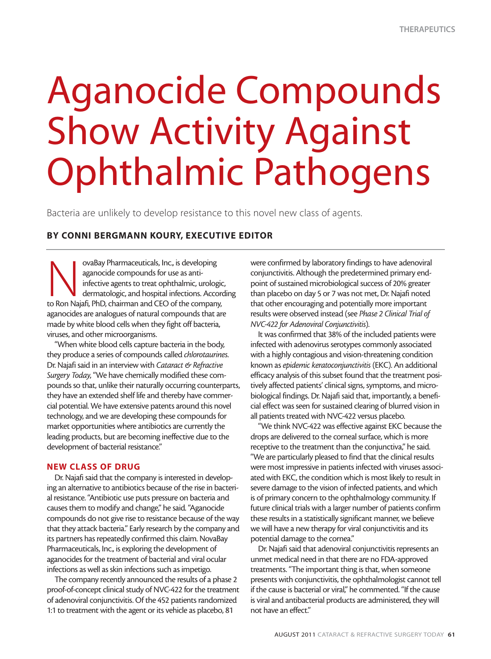# Aganocide Compounds Show Activity Against Ophthalmic Pathogens

Bacteria are unlikely to develop resistance to this novel new class of agents.

## **BY CONNI BERGMANN KOURY, EXECUTIVE EDITOR**

ovaBay Pharmaceuticals, Inc., is developing<br>
aganocide compounds for use as anti-<br>
infective agents to treat ophthalmic, urologie<br>
dermatologic, and hospital infections. Accor<br>
to Ron Najafi, PhD, chairman and CEO of the c aganocide compounds for use as antiinfective agents to treat ophthalmic, urologic, dermatologic, and hospital infections. According aganocides are analogues of natural compounds that are made by white blood cells when they fight off bacteria, viruses, and other microorganisms.

"When white blood cells capture bacteria in the body, they produce a series of compounds called *chlorotaurines*. Dr. Najafi said in an interview with *Cataract & Refractive Surgery Today*, "We have chemically modified these compounds so that, unlike their naturally occurring counterparts, they have an extended shelf life and thereby have commercial potential. We have extensive patents around this novel technology, and we are developing these compounds for market opportunities where antibiotics are currently the leading products, but are becoming ineffective due to the development of bacterial resistance."

## **NEW CLASS OF DRUG**

Dr. Najafi said that the company is interested in developing an alternative to antibiotics because of the rise in bacterial resistance. "Antibiotic use puts pressure on bacteria and causes them to modify and change," he said. "Aganocide compounds do not give rise to resistance because of the way that they attack bacteria." Early research by the company and its partners has repeatedly confirmed this claim. NovaBay Pharmaceuticals, Inc., is exploring the development of aganocides for the treatment of bacterial and viral ocular infections as well as skin infections such as impetigo.

The company recently announced the results of a phase 2 proof-of-concept clinical study of NVC-422 for the treatment of adenoviral conjunctivitis. Of the 452 patients randomized 1:1 to treatment with the agent or its vehicle as placebo, 81

were confirmed by laboratory findings to have adenoviral conjunctivitis. Although the predetermined primary endpoint of sustained microbiological success of 20% greater than placebo on day 5 or 7 was not met, Dr. Najafi noted that other encouraging and potentially more important results were observed instead (see *Phase 2 Clinical Trial of NVC-422 for Adenoviral Conjunctivitis*).

It was confirmed that 38% of the included patients were infected with adenovirus serotypes commonly associated with a highly contagious and vision-threatening condition known as *epidemic keratoconjunctivitis* (EKC). An additional efficacy analysis of this subset found that the treatment positively affected patients' clinical signs, symptoms, and microbiological findings. Dr. Najafi said that, importantly, a beneficial effect was seen for sustained clearing of blurred vision in all patients treated with NVC-422 versus placebo.

"We think NVC-422 was effective against EKC because the drops are delivered to the corneal surface, which is more receptive to the treatment than the conjunctiva," he said. "We are particularly pleased to find that the clinical results were most impressive in patients infected with viruses associated with EKC, the condition which is most likely to result in severe damage to the vision of infected patients, and which is of primary concern to the ophthalmology community. If future clinical trials with a larger number of patients confirm these results in a statistically significant manner, we believe we will have a new therapy for viral conjunctivitis and its potential damage to the cornea."

Dr. Najafi said that adenoviral conjunctivitis represents an unmet medical need in that there are no FDA-approved treatments. "The important thing is that, when someone presents with conjunctivitis, the ophthalmologist cannot tell if the cause is bacterial or viral," he commented. "If the cause is viral and antibacterial products are administered, they will not have an effect."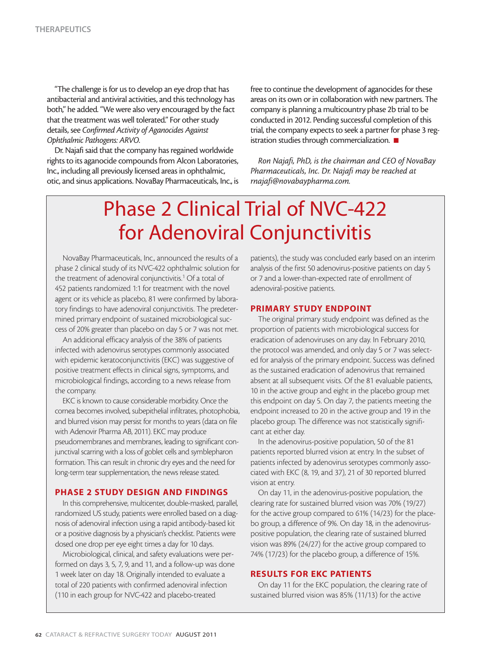"The challenge is for us to develop an eye drop that has antibacterial and antiviral activities, and this technology has both," he added. "We were also very encouraged by the fact that the treatment was well tolerated." For other study details, see *Confirmed Activity of Aganocides Against Ophthalmic Pathogens: ARVO*.

Dr. Najafi said that the company has regained worldwide rights to its aganocide compounds from Alcon Laboratories, Inc., including all previously licensed areas in ophthalmic, otic, and sinus applications. NovaBay Pharmaceuticals, Inc., is free to continue the development of aganocides for these areas on its own or in collaboration with new partners. The company is planning a multicountry phase 2b trial to be conducted in 2012. Pending successful completion of this trial, the company expects to seek a partner for phase 3 registration studies through commercialization. ■

*Ron Najafi, PhD, is the chairman and CEO of NovaBay Pharmaceuticals, Inc. Dr. Najafi may be reached at rnajafi@novabaypharma.com.*

# Phase 2 Clinical Trial of NVC-422 for Adenoviral Conjunctivitis

NovaBay Pharmaceuticals, Inc., announced the results of a phase 2 clinical study of its NVC-422 ophthalmic solution for the treatment of adenoviral conjunctivitis.<sup>1</sup> Of a total of 452 patients randomized 1:1 for treatment with the novel agent or its vehicle as placebo, 81 were confirmed by laboratory findings to have adenoviral conjunctivitis. The predetermined primary endpoint of sustained microbiological success of 20% greater than placebo on day 5 or 7 was not met.

An additional efficacy analysis of the 38% of patients infected with adenovirus serotypes commonly associated with epidemic keratoconjunctivitis (EKC) was suggestive of positive treatment effects in clinical signs, symptoms, and microbiological findings, according to a news release from the company.

EKC is known to cause considerable morbidity. Once the cornea becomes involved, subepithelial infiltrates, photophobia, and blurred vision may persist for months to years (data on file with Adenovir Pharma AB, 2011). EKC may produce pseudomembranes and membranes, leading to significant conjunctival scarring with a loss of goblet cells and symblepharon formation. This can result in chronic dry eyes and the need for long-term tear supplementation, the news release stated.

#### **PHASE 2 STUDY DESIGN AND FINDINGS**

In this comprehensive, multicenter, double-masked, parallel, randomized US study, patients were enrolled based on a diagnosis of adenoviral infection using a rapid antibody-based kit or a positive diagnosis by a physician's checklist. Patients were dosed one drop per eye eight times a day for 10 days.

Microbiological, clinical, and safety evaluations were performed on days 3, 5, 7, 9, and 11, and a follow-up was done 1 week later on day 18. Originally intended to evaluate a total of 220 patients with confirmed adenoviral infection (110 in each group for NVC-422 and placebo-treated

patients), the study was concluded early based on an interim analysis of the first 50 adenovirus-positive patients on day 5 or 7 and a lower-than-expected rate of enrollment of adenoviral-positive patients.

#### **PRIMARY STUDY ENDPOINT**

The original primary study endpoint was defined as the proportion of patients with microbiological success for eradication of adenoviruses on any day. In February 2010, the protocol was amended, and only day 5 or 7 was selected for analysis of the primary endpoint. Success was defined as the sustained eradication of adenovirus that remained absent at all subsequent visits. Of the 81 evaluable patients, 10 in the active group and eight in the placebo group met this endpoint on day 5. On day 7, the patients meeting the endpoint increased to 20 in the active group and 19 in the placebo group. The difference was not statistically significant at either day.

In the adenovirus-positive population, 50 of the 81 patients reported blurred vision at entry. In the subset of patients infected by adenovirus serotypes commonly associated with EKC (8, 19, and 37), 21 of 30 reported blurred vision at entry.

On day 11, in the adenovirus-positive population, the clearing rate for sustained blurred vision was 70% (19/27) for the active group compared to 61% (14/23) for the placebo group, a difference of 9%. On day 18, in the adenoviruspositive population, the clearing rate of sustained blurred vision was 89% (24/27) for the active group compared to 74% (17/23) for the placebo group, a difference of 15%.

#### **RESULTS FOR EKC PATIENTS**

On day 11 for the EKC population, the clearing rate of sustained blurred vision was 85% (11/13) for the active